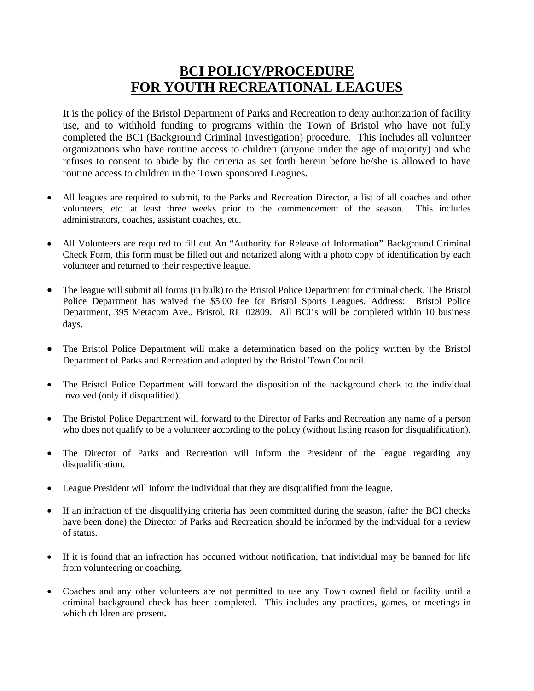## **BCI POLICY/PROCEDURE FOR YOUTH RECREATIONAL LEAGUES**

It is the policy of the Bristol Department of Parks and Recreation to deny authorization of facility use, and to withhold funding to programs within the Town of Bristol who have not fully completed the BCI (Background Criminal Investigation) procedure. This includes all volunteer organizations who have routine access to children (anyone under the age of majority) and who refuses to consent to abide by the criteria as set forth herein before he/she is allowed to have routine access to children in the Town sponsored Leagues**.** 

- All leagues are required to submit, to the Parks and Recreation Director, a list of all coaches and other volunteers, etc. at least three weeks prior to the commencement of the season. This includes administrators, coaches, assistant coaches, etc.
- All Volunteers are required to fill out An "Authority for Release of Information" Background Criminal Check Form, this form must be filled out and notarized along with a photo copy of identification by each volunteer and returned to their respective league.
- The league will submit all forms (in bulk) to the Bristol Police Department for criminal check. The Bristol Police Department has waived the \$5.00 fee for Bristol Sports Leagues. Address: Bristol Police Department, 395 Metacom Ave., Bristol, RI 02809. All BCI's will be completed within 10 business days.
- The Bristol Police Department will make a determination based on the policy written by the Bristol Department of Parks and Recreation and adopted by the Bristol Town Council.
- The Bristol Police Department will forward the disposition of the background check to the individual involved (only if disqualified).
- The Bristol Police Department will forward to the Director of Parks and Recreation any name of a person who does not qualify to be a volunteer according to the policy (without listing reason for disqualification).
- The Director of Parks and Recreation will inform the President of the league regarding any disqualification.
- League President will inform the individual that they are disqualified from the league.
- If an infraction of the disqualifying criteria has been committed during the season, (after the BCI checks have been done) the Director of Parks and Recreation should be informed by the individual for a review of status.
- If it is found that an infraction has occurred without notification, that individual may be banned for life from volunteering or coaching.
- Coaches and any other volunteers are not permitted to use any Town owned field or facility until a criminal background check has been completed. This includes any practices, games, or meetings in which children are present**.**